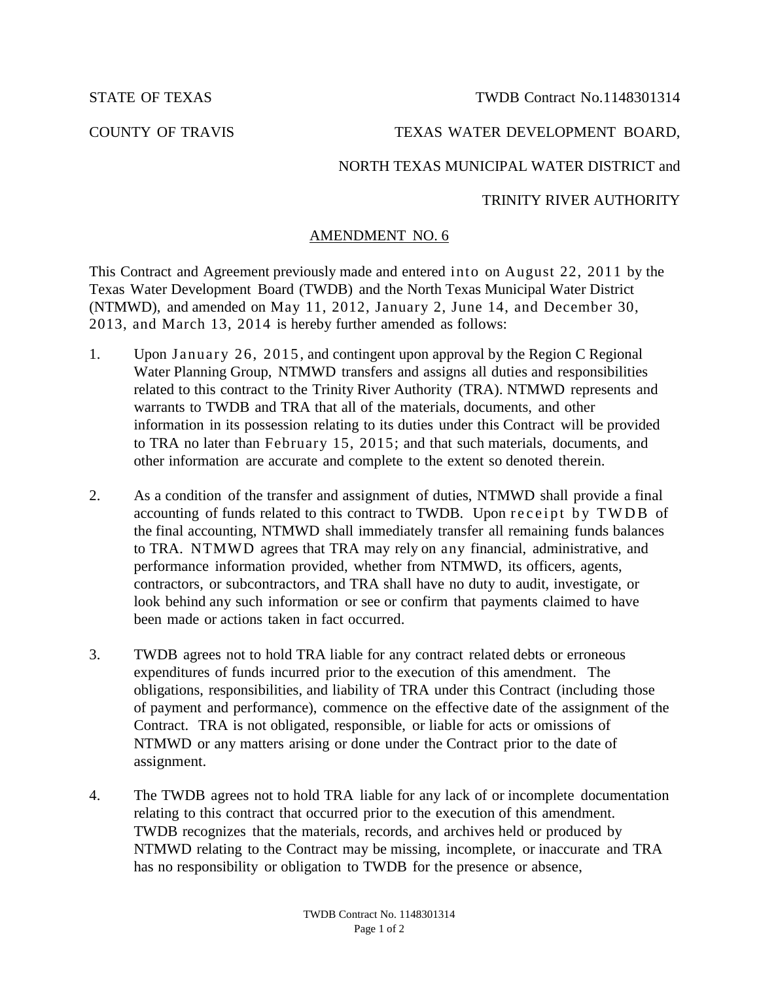STATE OF TEXAS TWDB Contract No. 1148301314

# COUNTY OF TRAVIS TEXAS WATER DEVELOPMENT BOARD,

## NORTH TEXAS MUNICIPAL WATER DISTRICT and

### TRINITY RIVER AUTHORITY

#### AMENDMENT NO. 6

This Contract and Agreement previously made and entered into on August 22, 2011 by the Texas Water Development Board (TWDB) and the North Texas Municipal Water District (NTMWD), and amended on May 11, 2012, January 2, June 14, and December 30, 2013, and March 13, 2014 is hereby further amended as follows:

- 1. Upon January 26, 2015 , and contingent upon approval by the Region C Regional Water Planning Group, NTMWD transfers and assigns all duties and responsibilities related to this contract to the Trinity River Authority (TRA). NTMWD represents and warrants to TWDB and TRA that all of the materials, documents, and other information in its possession relating to its duties under this Contract will be provided to TRA no later than February 15, 2015; and that such materials, documents, and other information are accurate and complete to the extent so denoted therein.
- 2. As a condition of the transfer and assignment of duties, NTMWD shall provide a final accounting of funds related to this contract to TWDB. Upon receipt by TWDB of the final accounting, NTMWD shall immediately transfer all remaining funds balances to TRA. NTMWD agrees that TRA may rely on any financial, administrative, and performance information provided, whether from NTMWD, its officers, agents, contractors, or subcontractors, and TRA shall have no duty to audit, investigate, or look behind any such information or see or confirm that payments claimed to have been made or actions taken in fact occurred.
- 3. TWDB agrees not to hold TRA liable for any contract related debts or erroneous expenditures of funds incurred prior to the execution of this amendment. The obligations, responsibilities, and liability of TRA under this Contract (including those of payment and performance), commence on the effective date of the assignment of the Contract. TRA is not obligated, responsible, or liable for acts or omissions of NTMWD or any matters arising or done under the Contract prior to the date of assignment.
- 4. The TWDB agrees not to hold TRA liable for any lack of or incomplete documentation relating to this contract that occurred prior to the execution of this amendment. TWDB recognizes that the materials, records, and archives held or produced by NTMWD relating to the Contract may be missing, incomplete, or inaccurate and TRA has no responsibility or obligation to TWDB for the presence or absence,